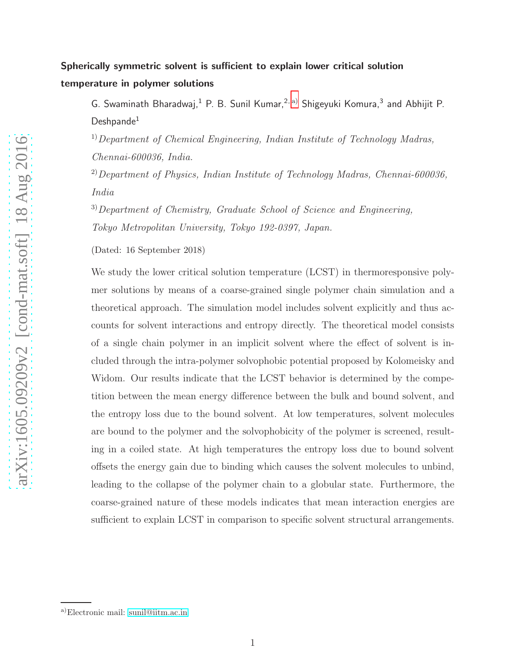# Spherically symmetric solvent is sufficient to explain lower critical solution temperature in polymer solutions

G. Swaminath Bharadwaj,<sup>1</sup> P. B. Sunil Kumar,<sup>2, [a\)](#page-0-0)</sup> Shigeyuki Komura,<sup>3</sup> and Abhijit P. Deshpande<sup>1</sup>

1)*Department of Chemical Engineering, Indian Institute of Technology Madras, Chennai-600036, India.*

2)*Department of Physics, Indian Institute of Technology Madras, Chennai-600036, India*

3)*Department of Chemistry, Graduate School of Science and Engineering, Tokyo Metropolitan University, Tokyo 192-0397, Japan.*

(Dated: 16 September 2018)

We study the lower critical solution temperature (LCST) in thermoresponsive polymer solutions by means of a coarse-grained single polymer chain simulation and a theoretical approach. The simulation model includes solvent explicitly and thus accounts for solvent interactions and entropy directly. The theoretical model consists of a single chain polymer in an implicit solvent where the effect of solvent is included through the intra-polymer solvophobic potential proposed by Kolomeisky and Widom. Our results indicate that the LCST behavior is determined by the competition between the mean energy difference between the bulk and bound solvent, and the entropy loss due to the bound solvent. At low temperatures, solvent molecules are bound to the polymer and the solvophobicity of the polymer is screened, resulting in a coiled state. At high temperatures the entropy loss due to bound solvent offsets the energy gain due to binding which causes the solvent molecules to unbind, leading to the collapse of the polymer chain to a globular state. Furthermore, the coarse-grained nature of these models indicates that mean interaction energies are sufficient to explain LCST in comparison to specific solvent structural arrangements.

<span id="page-0-0"></span>a)Electronic mail: [sunil@iitm.ac.in](mailto:sunil@iitm.ac.in)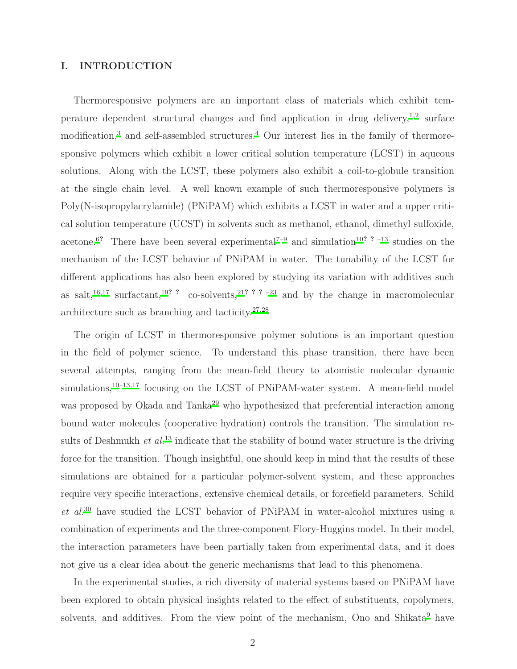# I. INTRODUCTION

Thermoresponsive polymers are an important class of materials which exhibit tem-perature dependent structural changes and find application in drug delivery,<sup>[1](#page-18-0)[,2](#page-18-1)</sup> surface modification,<sup>[3](#page-18-2)</sup> and self-assembled structures.<sup>[4](#page-18-3)</sup> Our interest lies in the family of thermoresponsive polymers which exhibit a lower critical solution temperature (LCST) in aqueous solutions. Along with the LCST, these polymers also exhibit a coil-to-globule transition at the single chain level. A well known example of such thermoresponsive polymers is Poly(N-isopropylacrylamide) (PNiPAM) which exhibits a LCST in water and a upper critical solution temperature (UCST) in solvents such as methanol, ethanol, dimethyl sulfoxide, acetone.<sup>[6](#page-18-4)?</sup> There have been several experimental<sup>[7](#page-18-5)-9</sup> and simulation<sup>[10](#page-18-7)? ?</sup> <sup>-13</sup> studies on the mechanism of the LCST behavior of PNiPAM in water. The tunability of the LCST for different applications has also been explored by studying its variation with additives such as salt,<sup>[16](#page-18-9)[,17](#page-18-10)</sup> surfactant,<sup>[19](#page-18-11)?</sup> ? co-solvents,<sup>[21](#page-19-0)???</sup> <sup>-23</sup> and by the change in macromolecular architecture such as branching and tacticity.[27](#page-19-2)[,28](#page-19-3)

The origin of LCST in thermoresponsive polymer solutions is an important question in the field of polymer science. To understand this phase transition, there have been several attempts, ranging from the mean-field theory to atomistic molecular dynamic simulations,  $10-13,17$  $10-13,17$  $10-13,17$  focusing on the LCST of PNiPAM-water system. A mean-field model was proposed by Okada and Tanka<sup>[29](#page-19-4)</sup> who hypothesized that preferential interaction among bound water molecules (cooperative hydration) controls the transition. The simulation results of Deshmukh *et al.*<sup>[13](#page-18-8)</sup> indicate that the stability of bound water structure is the driving force for the transition. Though insightful, one should keep in mind that the results of these simulations are obtained for a particular polymer-solvent system, and these approaches require very specific interactions, extensive chemical details, or forcefield parameters. Schild *et al.*[30](#page-19-5) have studied the LCST behavior of PNiPAM in water-alcohol mixtures using a combination of experiments and the three-component Flory-Huggins model. In their model, the interaction parameters have been partially taken from experimental data, and it does not give us a clear idea about the generic mechanisms that lead to this phenomena.

In the experimental studies, a rich diversity of material systems based on PNiPAM have been explored to obtain physical insights related to the effect of substituents, copolymers, solvents, and additives. From the view point of the mechanism, Ono and Shikata<sup>[9](#page-18-6)</sup> have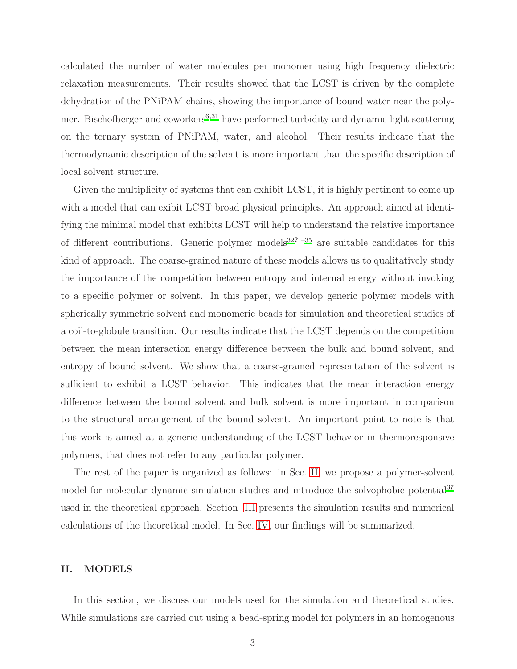calculated the number of water molecules per monomer using high frequency dielectric relaxation measurements. Their results showed that the LCST is driven by the complete dehydration of the PNiPAM chains, showing the importance of bound water near the polymer. Bischofberger and coworkers $6,31$  $6,31$  have performed turbidity and dynamic light scattering on the ternary system of PNiPAM, water, and alcohol. Their results indicate that the thermodynamic description of the solvent is more important than the specific description of local solvent structure.

Given the multiplicity of systems that can exhibit LCST, it is highly pertinent to come up with a model that can exibit LCST broad physical principles. An approach aimed at identifying the minimal model that exhibits LCST will help to understand the relative importance of different contributions. Generic polymer models<sup>[32](#page-19-7)?  $-35$ </sup> are suitable candidates for this kind of approach. The coarse-grained nature of these models allows us to qualitatively study the importance of the competition between entropy and internal energy without invoking to a specific polymer or solvent. In this paper, we develop generic polymer models with spherically symmetric solvent and monomeric beads for simulation and theoretical studies of a coil-to-globule transition. Our results indicate that the LCST depends on the competition between the mean interaction energy difference between the bulk and bound solvent, and entropy of bound solvent. We show that a coarse-grained representation of the solvent is sufficient to exhibit a LCST behavior. This indicates that the mean interaction energy difference between the bound solvent and bulk solvent is more important in comparison to the structural arrangement of the bound solvent. An important point to note is that this work is aimed at a generic understanding of the LCST behavior in thermoresponsive polymers, that does not refer to any particular polymer.

The rest of the paper is organized as follows: in Sec. [II,](#page-2-0) we propose a polymer-solvent model for molecular dynamic simulation studies and introduce the solvophobic potential<sup>[37](#page-19-9)</sup> used in the theoretical approach. Section [III](#page-8-0) presents the simulation results and numerical calculations of the theoretical model. In Sec. [IV,](#page-16-0) our findings will be summarized.

#### <span id="page-2-0"></span>II. MODELS

In this section, we discuss our models used for the simulation and theoretical studies. While simulations are carried out using a bead-spring model for polymers in an homogenous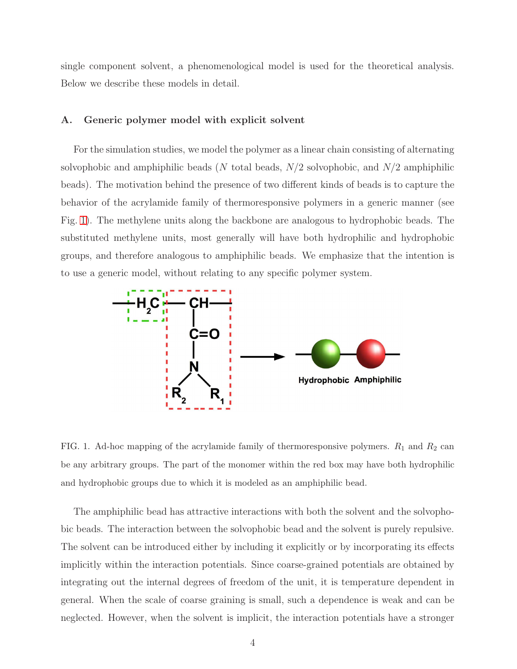single component solvent, a phenomenological model is used for the theoretical analysis. Below we describe these models in detail.

#### A. Generic polymer model with explicit solvent

For the simulation studies, we model the polymer as a linear chain consisting of alternating solvophobic and amphiphilic beads (N total beads,  $N/2$  solvophobic, and  $N/2$  amphiphilic beads). The motivation behind the presence of two different kinds of beads is to capture the behavior of the acrylamide family of thermoresponsive polymers in a generic manner (see Fig. [1\)](#page-3-0). The methylene units along the backbone are analogous to hydrophobic beads. The substituted methylene units, most generally will have both hydrophilic and hydrophobic groups, and therefore analogous to amphiphilic beads. We emphasize that the intention is to use a generic model, without relating to any specific polymer system.



<span id="page-3-0"></span>FIG. 1. Ad-hoc mapping of the acrylamide family of thermoresponsive polymers.  $R_1$  and  $R_2$  can be any arbitrary groups. The part of the monomer within the red box may have both hydrophilic and hydrophobic groups due to which it is modeled as an amphiphilic bead.

The amphiphilic bead has attractive interactions with both the solvent and the solvophobic beads. The interaction between the solvophobic bead and the solvent is purely repulsive. The solvent can be introduced either by including it explicitly or by incorporating its effects implicitly within the interaction potentials. Since coarse-grained potentials are obtained by integrating out the internal degrees of freedom of the unit, it is temperature dependent in general. When the scale of coarse graining is small, such a dependence is weak and can be neglected. However, when the solvent is implicit, the interaction potentials have a stronger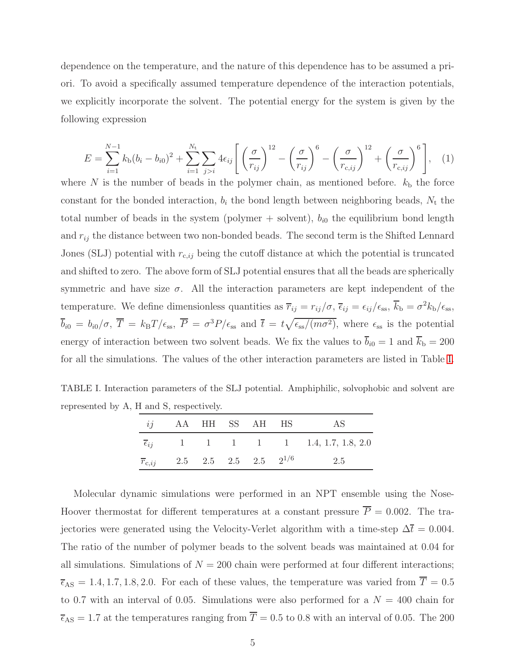dependence on the temperature, and the nature of this dependence has to be assumed a priori. To avoid a specifically assumed temperature dependence of the interaction potentials, we explicitly incorporate the solvent. The potential energy for the system is given by the following expression

<span id="page-4-1"></span>
$$
E = \sum_{i=1}^{N-1} k_{\text{b}} (b_i - b_{i0})^2 + \sum_{i=1}^{N_{\text{t}}} \sum_{j>i} 4 \epsilon_{ij} \left[ \left( \frac{\sigma}{r_{ij}} \right)^{12} - \left( \frac{\sigma}{r_{ij}} \right)^6 - \left( \frac{\sigma}{r_{\text{c},ij}} \right)^{12} + \left( \frac{\sigma}{r_{\text{c},ij}} \right)^6 \right], \quad (1)
$$

where  $N$  is the number of beads in the polymer chain, as mentioned before.  $k<sub>b</sub>$  the force constant for the bonded interaction,  $b_i$  the bond length between neighboring beads,  $N_t$  the total number of beads in the system (polymer  $+$  solvent),  $b_{i0}$  the equilibrium bond length and  $r_{ij}$  the distance between two non-bonded beads. The second term is the Shifted Lennard Jones (SLJ) potential with  $r_{c,ij}$  being the cutoff distance at which the potential is truncated and shifted to zero. The above form of SLJ potential ensures that all the beads are spherically symmetric and have size  $\sigma$ . All the interaction parameters are kept independent of the temperature. We define dimensionless quantities as  $\overline{r}_{ij} = r_{ij}/\sigma$ ,  $\overline{\epsilon}_{ij} = \epsilon_{ij}/\epsilon_{ss}$ ,  $\overline{k}_{\rm b} = \sigma^2 k_{\rm b}/\epsilon_{ss}$ ,  $\overline{b}_{i0} = b_{i0}/\sigma$ ,  $\overline{T} = k_B T/\epsilon_{ss}$ ,  $\overline{P} = \sigma^3 P/\epsilon_{ss}$  and  $\overline{t} = t\sqrt{\epsilon_{ss}/(m\sigma^2)}$ , where  $\epsilon_{ss}$  is the potential energy of interaction between two solvent beads. We fix the values to  $\bar{b}_{i0} = 1$  and  $\bar{k}_{b} = 200$ for all the simulations. The values of the other interaction parameters are listed in Table [I.](#page-4-0)

TABLE I. Interaction parameters of the SLJ potential. Amphiphilic, solvophobic and solvent are represented by A, H and S, respectively.

<span id="page-4-0"></span>

| <i>ij</i> AA HH SS AH HS                           |  |  | AS                                                        |
|----------------------------------------------------|--|--|-----------------------------------------------------------|
|                                                    |  |  | $\overline{\epsilon}_{ij}$ 1 1 1 1 1 1 1.4, 1.7, 1.8, 2.0 |
| $\overline{r}_{c,ij}$ 2.5 2.5 2.5 2 <sup>1/6</sup> |  |  | 2.5                                                       |

Molecular dynamic simulations were performed in an NPT ensemble using the Nose-Hoover thermostat for different temperatures at a constant pressure  $\overline{P} = 0.002$ . The trajectories were generated using the Velocity-Verlet algorithm with a time-step  $\Delta \bar{t} = 0.004$ . The ratio of the number of polymer beads to the solvent beads was maintained at 0.04 for all simulations. Simulations of  $N = 200$  chain were performed at four different interactions;  $\overline{\epsilon}_{AS} = 1.4, 1.7, 1.8, 2.0$ . For each of these values, the temperature was varied from  $\overline{T} = 0.5$ to 0.7 with an interval of 0.05. Simulations were also performed for a  $N = 400$  chain for  $\overline{\epsilon}_{AS} = 1.7$  at the temperatures ranging from  $\overline{T} = 0.5$  to 0.8 with an interval of 0.05. The 200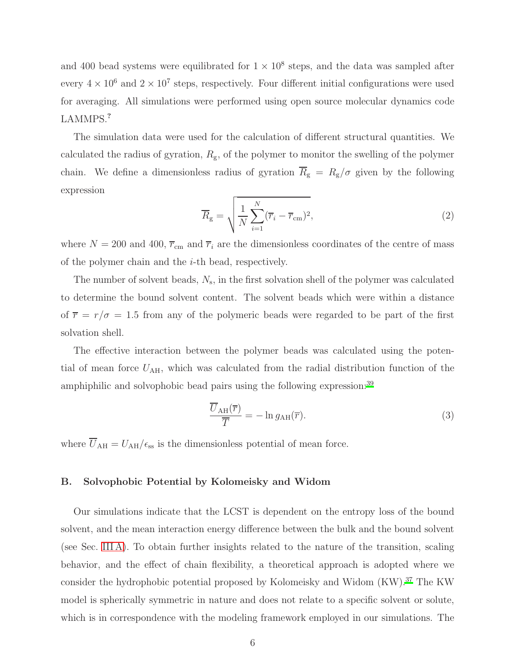and 400 bead systems were equilibrated for  $1 \times 10^8$  steps, and the data was sampled after every  $4 \times 10^6$  and  $2 \times 10^7$  steps, respectively. Four different initial configurations were used for averaging. All simulations were performed using open source molecular dynamics code LAMMPS.?

The simulation data were used for the calculation of different structural quantities. We calculated the radius of gyration,  $R_{\rm g}$ , of the polymer to monitor the swelling of the polymer chain. We define a dimensionless radius of gyration  $\overline{R}_g = R_g/\sigma$  given by the following expression

$$
\overline{R}_{g} = \sqrt{\frac{1}{N} \sum_{i=1}^{N} (\overline{r}_{i} - \overline{r}_{cm})^{2}},
$$
\n(2)

where  $N = 200$  and  $400$ ,  $\overline{r}_{cm}$  and  $\overline{r}_i$  are the dimensionless coordinates of the centre of mass of the polymer chain and the  $i$ -th bead, respectively.

The number of solvent beads,  $N_s$ , in the first solvation shell of the polymer was calculated to determine the bound solvent content. The solvent beads which were within a distance of  $\bar{r} = r/\sigma = 1.5$  from any of the polymeric beads were regarded to be part of the first solvation shell.

The effective interaction between the polymer beads was calculated using the potential of mean force  $U_{\rm AH}$ , which was calculated from the radial distribution function of the amphiphilic and solvophobic bead pairs using the following expression:[39](#page-19-10)

$$
\frac{\overline{U}_{\text{AH}}(\overline{r})}{\overline{T}} = -\ln g_{\text{AH}}(\overline{r}).\tag{3}
$$

where  $\overline{U}_{\rm AH} = U_{\rm AH}/\epsilon_{\rm ss}$  is the dimensionless potential of mean force.

#### <span id="page-5-0"></span>B. Solvophobic Potential by Kolomeisky and Widom

Our simulations indicate that the LCST is dependent on the entropy loss of the bound solvent, and the mean interaction energy difference between the bulk and the bound solvent (see Sec. [III A\)](#page-8-1). To obtain further insights related to the nature of the transition, scaling behavior, and the effect of chain flexibility, a theoretical approach is adopted where we consider the hydrophobic potential proposed by Kolomeisky and Widom (KW).[37](#page-19-9) The KW model is spherically symmetric in nature and does not relate to a specific solvent or solute, which is in correspondence with the modeling framework employed in our simulations. The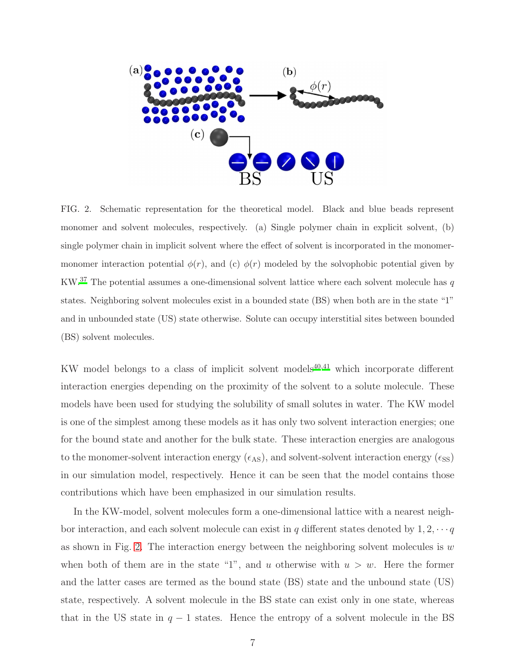

<span id="page-6-0"></span>FIG. 2. Schematic representation for the theoretical model. Black and blue beads represent monomer and solvent molecules, respectively. (a) Single polymer chain in explicit solvent, (b) single polymer chain in implicit solvent where the effect of solvent is incorporated in the monomermonomer interaction potential  $\phi(r)$ , and (c)  $\phi(r)$  modeled by the solvophobic potential given by  $\rm KW.^{37}$  $\rm KW.^{37}$  $\rm KW.^{37}$  The potential assumes a one-dimensional solvent lattice where each solvent molecule has  $q$ states. Neighboring solvent molecules exist in a bounded state (BS) when both are in the state "1" and in unbounded state (US) state otherwise. Solute can occupy interstitial sites between bounded (BS) solvent molecules.

KW model belongs to a class of implicit solvent models $40,41$  $40,41$  which incorporate different interaction energies depending on the proximity of the solvent to a solute molecule. These models have been used for studying the solubility of small solutes in water. The KW model is one of the simplest among these models as it has only two solvent interaction energies; one for the bound state and another for the bulk state. These interaction energies are analogous to the monomer-solvent interaction energy  $(\epsilon_{AS})$ , and solvent-solvent interaction energy  $(\epsilon_{SS})$ in our simulation model, respectively. Hence it can be seen that the model contains those contributions which have been emphasized in our simulation results.

In the KW-model, solvent molecules form a one-dimensional lattice with a nearest neighbor interaction, and each solvent molecule can exist in  $q$  different states denoted by  $1, 2, \cdots q$ as shown in Fig. [2.](#page-6-0) The interaction energy between the neighboring solvent molecules is  $w$ when both of them are in the state "1", and u otherwise with  $u > w$ . Here the former and the latter cases are termed as the bound state (BS) state and the unbound state (US) state, respectively. A solvent molecule in the BS state can exist only in one state, whereas that in the US state in  $q - 1$  states. Hence the entropy of a solvent molecule in the BS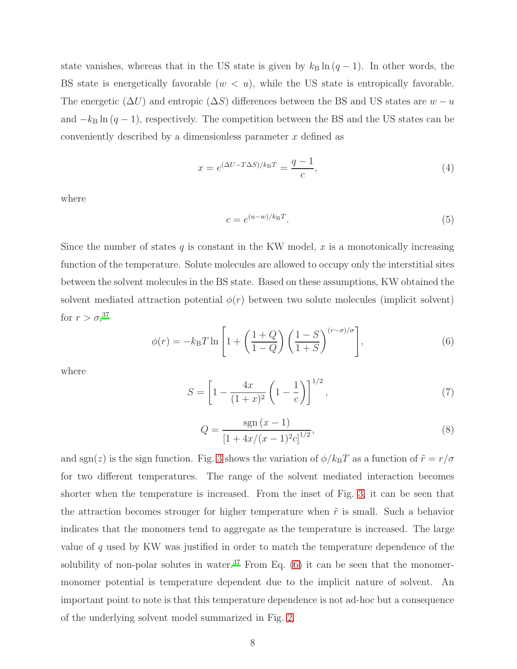state vanishes, whereas that in the US state is given by  $k_B \ln (q-1)$ . In other words, the BS state is energetically favorable  $(w < u)$ , while the US state is entropically favorable. The energetic ( $\Delta U$ ) and entropic ( $\Delta S$ ) differences between the BS and US states are  $w - u$ and  $-k_B \ln(q-1)$ , respectively. The competition between the BS and the US states can be conveniently described by a dimensionless parameter  $x$  defined as

<span id="page-7-1"></span>
$$
x = e^{(\Delta U - T\Delta S)/k_{\rm B}T} = \frac{q-1}{c},\tag{4}
$$

where

$$
c = e^{(u-w)/k_{\rm B}T}.\tag{5}
$$

Since the number of states q is constant in the KW model, x is a monotonically increasing function of the temperature. Solute molecules are allowed to occupy only the interstitial sites between the solvent molecules in the BS state. Based on these assumptions, KW obtained the solvent mediated attraction potential  $\phi(r)$  between two solute molecules (implicit solvent) for  $r > \sigma$ ,<sup>[37](#page-19-9)</sup>

<span id="page-7-0"></span>
$$
\phi(r) = -k_{\rm B}T\ln\left[1 + \left(\frac{1+Q}{1-Q}\right)\left(\frac{1-S}{1+S}\right)^{(r-\sigma)/\sigma}\right],\tag{6}
$$

where

$$
S = \left[1 - \frac{4x}{(1+x)^2} \left(1 - \frac{1}{c}\right)\right]^{1/2},\tag{7}
$$

$$
Q = \frac{\operatorname{sgn}(x-1)}{\left[1 + \frac{4x}{(x-1)^2 c}\right]^{1/2}},\tag{8}
$$

and sgn(z) is the sign function. Fig. [3](#page-8-2) shows the variation of  $\phi/k_BT$  as a function of  $\tilde{r} = r/\sigma$ for two different temperatures. The range of the solvent mediated interaction becomes shorter when the temperature is increased. From the inset of Fig. [3,](#page-8-2) it can be seen that the attraction becomes stronger for higher temperature when  $\tilde{r}$  is small. Such a behavior indicates that the monomers tend to aggregate as the temperature is increased. The large value of  $q$  used by KW was justified in order to match the temperature dependence of the solubility of non-polar solutes in water.<sup>[37](#page-19-9)</sup> From Eq.  $(6)$  it can be seen that the monomermonomer potential is temperature dependent due to the implicit nature of solvent. An important point to note is that this temperature dependence is not ad-hoc but a consequence of the underlying solvent model summarized in Fig. [2.](#page-6-0)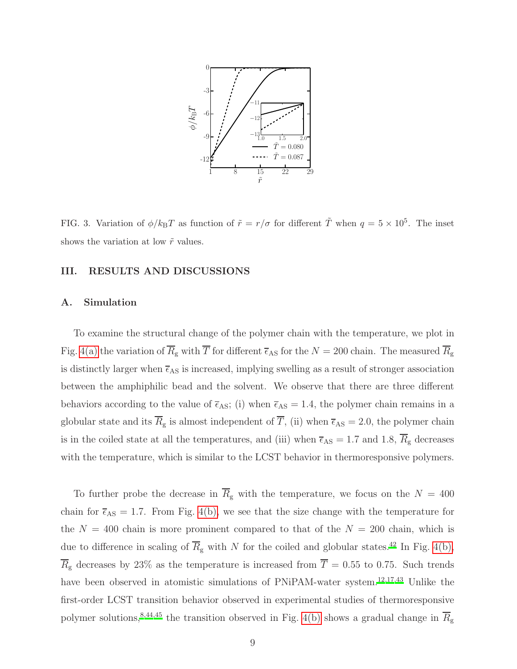

<span id="page-8-2"></span>FIG. 3. Variation of  $\phi/k_BT$  as function of  $\tilde{r} = r/\sigma$  for different  $\tilde{T}$  when  $q = 5 \times 10^5$ . The inset shows the variation at low  $\tilde{r}$  values.

## <span id="page-8-0"></span>III. RESULTS AND DISCUSSIONS

#### <span id="page-8-1"></span>A. Simulation

To examine the structural change of the polymer chain with the temperature, we plot in Fig. [4\(a\)](#page-9-0) the variation of  $\overline{R}_{\rm g}$  with  $\overline{T}$  for different  $\overline{\epsilon}_{\rm AS}$  for the  $N=200$  chain. The measured  $\overline{R}_{\rm g}$ is distinctly larger when  $\bar{\epsilon}_{AS}$  is increased, implying swelling as a result of stronger association between the amphiphilic bead and the solvent. We observe that there are three different behaviors according to the value of  $\bar{\epsilon}_{AS}$ ; (i) when  $\bar{\epsilon}_{AS} = 1.4$ , the polymer chain remains in a globular state and its  $\overline{R}_g$  is almost independent of  $\overline{T}$ , (ii) when  $\overline{\epsilon}_{AS} = 2.0$ , the polymer chain is in the coiled state at all the temperatures, and (iii) when  $\bar{\epsilon}_{AS} = 1.7$  and 1.8,  $\bar{R}_{g}$  decreases with the temperature, which is similar to the LCST behavior in thermoresponsive polymers.

To further probe the decrease in  $\overline{R}_{g}$  with the temperature, we focus on the  $N = 400$ chain for  $\bar{\epsilon}_{AS} = 1.7$ . From Fig. [4\(b\),](#page-9-1) we see that the size change with the temperature for the  $N = 400$  chain is more prominent compared to that of the  $N = 200$  chain, which is due to difference in scaling of  $\overline{R}_{g}$  with N for the coiled and globular states.<sup>[42](#page-19-13)</sup> In Fig. [4\(b\),](#page-9-1)  $\overline{R}_{g}$  decreases by 23% as the temperature is increased from  $\overline{T} = 0.55$  to 0.75. Such trends have been observed in atomistic simulations of PNiPAM-water system.<sup>[12](#page-18-12)[,17](#page-18-10)[,43](#page-20-0)</sup> Unlike the first-order LCST transition behavior observed in experimental studies of thermoresponsive polymer solutions,<sup>[8](#page-18-13)[,44](#page-20-1)[,45](#page-20-2)</sup> the transition observed in Fig. [4\(b\)](#page-9-1) shows a gradual change in  $\overline{R_g}$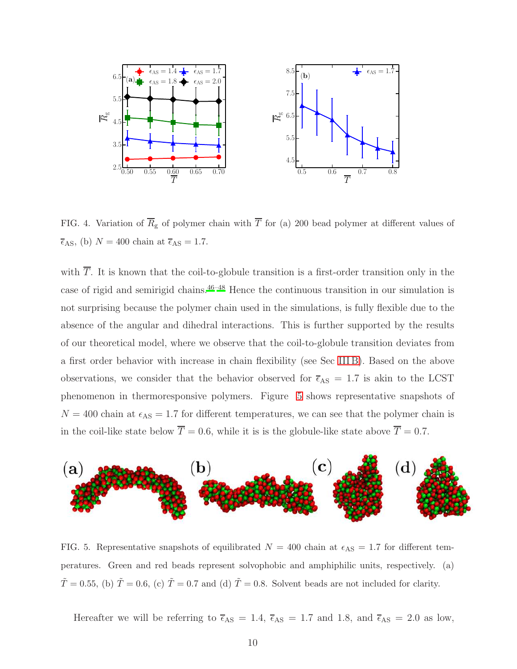<span id="page-9-0"></span>

<span id="page-9-1"></span>FIG. 4. Variation of  $\overline{R}_{g}$  of polymer chain with  $\overline{T}$  for (a) 200 bead polymer at different values of  $\overline{\epsilon}_{AS}$ , (b)  $N = 400$  chain at  $\overline{\epsilon}_{AS} = 1.7$ .

with  $\overline{T}$ . It is known that the coil-to-globule transition is a first-order transition only in the case of rigid and semirigid chains.[46](#page-20-3)[–48](#page-20-4) Hence the continuous transition in our simulation is not surprising because the polymer chain used in the simulations, is fully flexible due to the absence of the angular and dihedral interactions. This is further supported by the results of our theoretical model, where we observe that the coil-to-globule transition deviates from a first order behavior with increase in chain flexibility (see Sec [III B\)](#page-12-0). Based on the above observations, we consider that the behavior observed for  $\overline{\epsilon}_{AS}$  = 1.7 is akin to the LCST phenomenon in thermoresponsive polymers. Figure [5](#page-9-2) shows representative snapshots of  $N = 400$  chain at  $\epsilon_{AS} = 1.7$  for different temperatures, we can see that the polymer chain is in the coil-like state below  $\overline{T} = 0.6$ , while it is is the globule-like state above  $\overline{T} = 0.7$ .



<span id="page-9-2"></span>FIG. 5. Representative snapshots of equilibrated  $N = 400$  chain at  $\epsilon_{AS} = 1.7$  for different temperatures. Green and red beads represent solvophobic and amphiphilic units, respectively. (a)  $\tilde{T} = 0.55$ , (b)  $\tilde{T} = 0.6$ , (c)  $\tilde{T} = 0.7$  and (d)  $\tilde{T} = 0.8$ . Solvent beads are not included for clarity.

Hereafter we will be referring to  $\bar{\epsilon}_{AS} = 1.4$ ,  $\bar{\epsilon}_{AS} = 1.7$  and 1.8, and  $\bar{\epsilon}_{AS} = 2.0$  as low,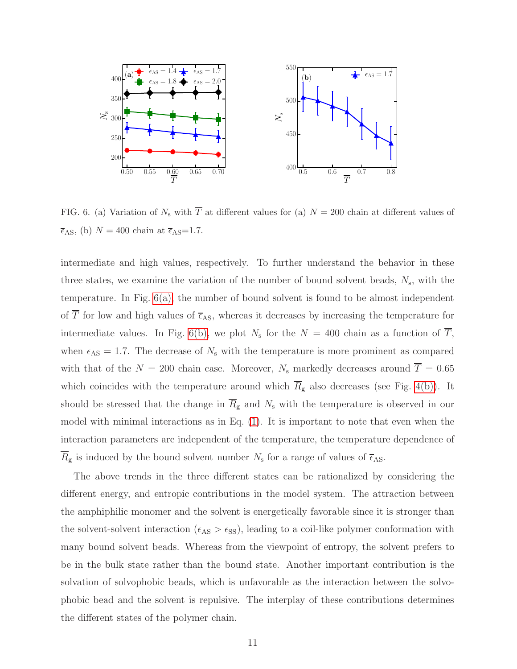<span id="page-10-0"></span>

<span id="page-10-1"></span>FIG. 6. (a) Variation of  $N_s$  with  $\overline{T}$  at different values for (a)  $N = 200$  chain at different values of  $\overline{\epsilon}_{\mathrm{AS}},$  (b)  $N=400$  chain at  $\overline{\epsilon}_{\mathrm{AS}}{=}1.7.$ 

intermediate and high values, respectively. To further understand the behavior in these three states, we examine the variation of the number of bound solvent beads,  $N_s$ , with the temperature. In Fig. [6\(a\),](#page-10-0) the number of bound solvent is found to be almost independent of  $\overline{T}$  for low and high values of  $\overline{\epsilon}_{AS}$ , whereas it decreases by increasing the temperature for intermediate values. In Fig. [6\(b\),](#page-10-1) we plot  $N_s$  for the  $N = 400$  chain as a function of T, when  $\epsilon_{AS} = 1.7$ . The decrease of  $N_s$  with the temperature is more prominent as compared with that of the  $N = 200$  chain case. Moreover,  $N_s$  markedly decreases around  $\overline{T} = 0.65$ which coincides with the temperature around which  $\overline{R}_{g}$  also decreases (see Fig. [4\(b\)\)](#page-9-1). It should be stressed that the change in  $\overline{R}_{g}$  and  $N_{s}$  with the temperature is observed in our model with minimal interactions as in Eq. [\(1\)](#page-4-1). It is important to note that even when the interaction parameters are independent of the temperature, the temperature dependence of  $R_{\rm g}$  is induced by the bound solvent number  $N_{\rm s}$  for a range of values of  $\overline{\epsilon}_{\rm AS}$ .

The above trends in the three different states can be rationalized by considering the different energy, and entropic contributions in the model system. The attraction between the amphiphilic monomer and the solvent is energetically favorable since it is stronger than the solvent-solvent interaction ( $\epsilon_{AS} > \epsilon_{SS}$ ), leading to a coil-like polymer conformation with many bound solvent beads. Whereas from the viewpoint of entropy, the solvent prefers to be in the bulk state rather than the bound state. Another important contribution is the solvation of solvophobic beads, which is unfavorable as the interaction between the solvophobic bead and the solvent is repulsive. The interplay of these contributions determines the different states of the polymer chain.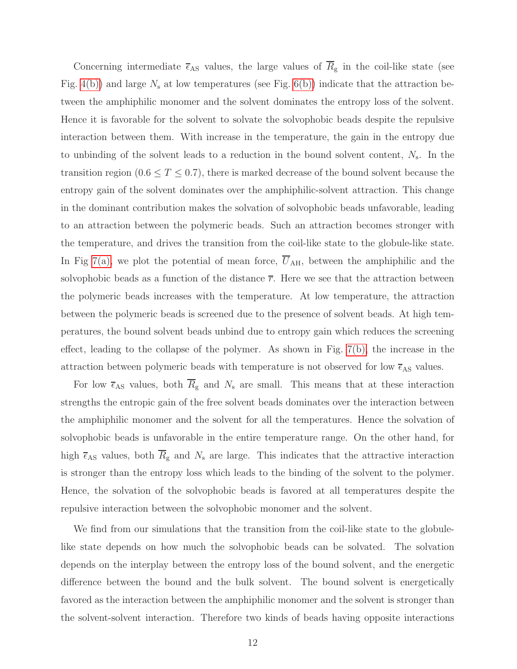Concerning intermediate  $\bar{\epsilon}_{AS}$  values, the large values of  $\bar{R}_{g}$  in the coil-like state (see Fig. [4\(b\)\)](#page-9-1) and large  $N_s$  at low temperatures (see Fig. [6\(b\)\)](#page-10-1) indicate that the attraction between the amphiphilic monomer and the solvent dominates the entropy loss of the solvent. Hence it is favorable for the solvent to solvate the solvophobic beads despite the repulsive interaction between them. With increase in the temperature, the gain in the entropy due to unbinding of the solvent leads to a reduction in the bound solvent content,  $N_s$ . In the transition region  $(0.6 \le T \le 0.7)$ , there is marked decrease of the bound solvent because the entropy gain of the solvent dominates over the amphiphilic-solvent attraction. This change in the dominant contribution makes the solvation of solvophobic beads unfavorable, leading to an attraction between the polymeric beads. Such an attraction becomes stronger with the temperature, and drives the transition from the coil-like state to the globule-like state. In Fig [7\(a\),](#page-12-1) we plot the potential of mean force,  $\overline{U}_{AH}$ , between the amphiphilic and the solvophobic beads as a function of the distance  $\overline{r}$ . Here we see that the attraction between the polymeric beads increases with the temperature. At low temperature, the attraction between the polymeric beads is screened due to the presence of solvent beads. At high temperatures, the bound solvent beads unbind due to entropy gain which reduces the screening effect, leading to the collapse of the polymer. As shown in Fig.  $7(b)$ , the increase in the attraction between polymeric beads with temperature is not observed for low  $\overline{\epsilon}_{\mathrm{AS}}$  values.

For low  $\overline{\epsilon}_{AS}$  values, both  $\overline{R}_{g}$  and  $N_{s}$  are small. This means that at these interaction strengths the entropic gain of the free solvent beads dominates over the interaction between the amphiphilic monomer and the solvent for all the temperatures. Hence the solvation of solvophobic beads is unfavorable in the entire temperature range. On the other hand, for high  $\bar{\epsilon}_{AS}$  values, both  $\bar{R}_{g}$  and  $N_{s}$  are large. This indicates that the attractive interaction is stronger than the entropy loss which leads to the binding of the solvent to the polymer. Hence, the solvation of the solvophobic beads is favored at all temperatures despite the repulsive interaction between the solvophobic monomer and the solvent.

We find from our simulations that the transition from the coil-like state to the globulelike state depends on how much the solvophobic beads can be solvated. The solvation depends on the interplay between the entropy loss of the bound solvent, and the energetic difference between the bound and the bulk solvent. The bound solvent is energetically favored as the interaction between the amphiphilic monomer and the solvent is stronger than the solvent-solvent interaction. Therefore two kinds of beads having opposite interactions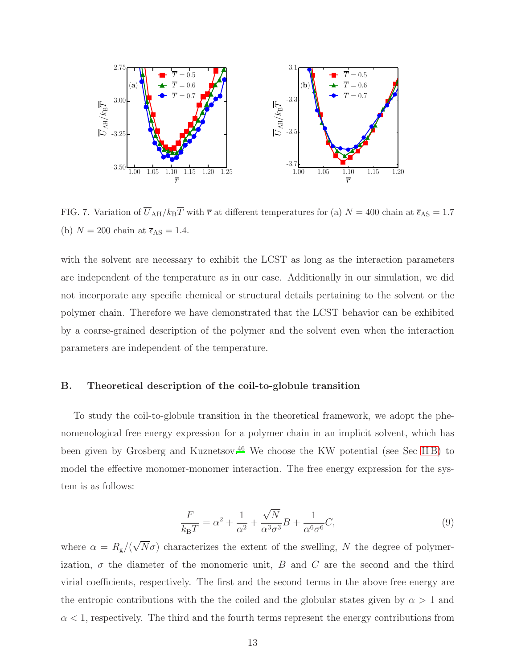<span id="page-12-1"></span>

<span id="page-12-2"></span>FIG. 7. Variation of  $\overline{U}_{\text{AH}}/k_{\text{B}}\overline{T}$  with  $\overline{r}$  at different temperatures for (a)  $N = 400$  chain at  $\overline{\epsilon}_{\text{AS}} = 1.7$ (b)  $N = 200$  chain at  $\overline{\epsilon}_{AS} = 1.4$ .

with the solvent are necessary to exhibit the LCST as long as the interaction parameters are independent of the temperature as in our case. Additionally in our simulation, we did not incorporate any specific chemical or structural details pertaining to the solvent or the polymer chain. Therefore we have demonstrated that the LCST behavior can be exhibited by a coarse-grained description of the polymer and the solvent even when the interaction parameters are independent of the temperature.

# <span id="page-12-0"></span>B. Theoretical description of the coil-to-globule transition

To study the coil-to-globule transition in the theoretical framework, we adopt the phenomenological free energy expression for a polymer chain in an implicit solvent, which has been given by Grosberg and Kuznetsov.[46](#page-20-3) We choose the KW potential (see Sec [II B\)](#page-5-0) to model the effective monomer-monomer interaction. The free energy expression for the system is as follows:

<span id="page-12-3"></span>
$$
\frac{F}{k_{\rm B}T} = \alpha^2 + \frac{1}{\alpha^2} + \frac{\sqrt{N}}{\alpha^3 \sigma^3} B + \frac{1}{\alpha^6 \sigma^6} C,\tag{9}
$$

where  $\alpha = R_{g}/(\sqrt{N}\sigma)$  characterizes the extent of the swelling, N the degree of polymerization,  $\sigma$  the diameter of the monomeric unit, B and C are the second and the third virial coefficients, respectively. The first and the second terms in the above free energy are the entropic contributions with the the coiled and the globular states given by  $\alpha > 1$  and  $\alpha$  < 1, respectively. The third and the fourth terms represent the energy contributions from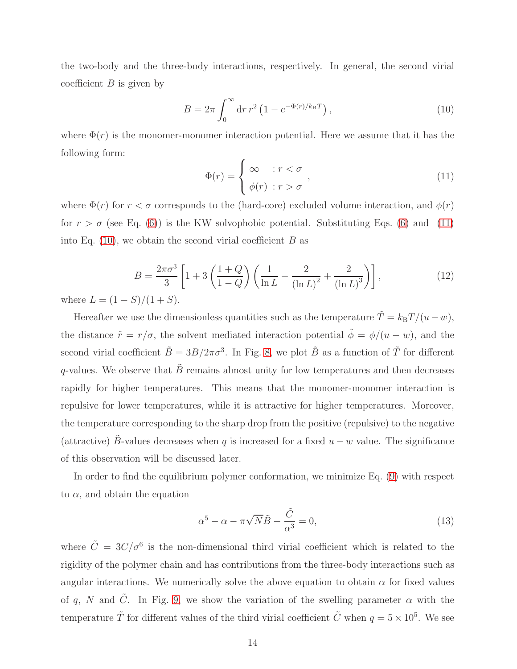the two-body and the three-body interactions, respectively. In general, the second virial coefficient  $B$  is given by

<span id="page-13-1"></span>
$$
B = 2\pi \int_0^\infty dr \, r^2 \left( 1 - e^{-\Phi(r)/k_B T} \right),\tag{10}
$$

where  $\Phi(r)$  is the monomer-monomer interaction potential. Here we assume that it has the following form:

<span id="page-13-0"></span>
$$
\Phi(r) = \begin{cases} \infty & : r < \sigma \\ \phi(r) & : r > \sigma \end{cases}, \tag{11}
$$

where  $\Phi(r)$  for  $r < \sigma$  corresponds to the (hard-core) excluded volume interaction, and  $\phi(r)$ for  $r > \sigma$  (see Eq. [\(6\)](#page-7-0)) is the KW solvophobic potential. Substituting Eqs. (6) and [\(11\)](#page-13-0) into Eq.  $(10)$ , we obtain the second virial coefficient B as

$$
B = \frac{2\pi\sigma^3}{3} \left[ 1 + 3\left(\frac{1+Q}{1-Q}\right) \left(\frac{1}{\ln L} - \frac{2}{(\ln L)^2} + \frac{2}{(\ln L)^3} \right) \right],
$$
(12)

where  $L = (1 - S)/(1 + S)$ .

Hereafter we use the dimensionless quantities such as the temperature  $\tilde{T} = k_B T/(u - w)$ , the distance  $\tilde{r} = r/\sigma$ , the solvent mediated interaction potential  $\tilde{\phi} = \phi/(u - w)$ , and the second virial coefficient  $\tilde{B} = 3B/2\pi\sigma^3$ . In Fig. [8,](#page-14-0) we plot  $\tilde{B}$  as a function of  $\tilde{T}$  for different q-values. We observe that  $\tilde{B}$  remains almost unity for low temperatures and then decreases rapidly for higher temperatures. This means that the monomer-monomer interaction is repulsive for lower temperatures, while it is attractive for higher temperatures. Moreover, the temperature corresponding to the sharp drop from the positive (repulsive) to the negative (attractive) B-values decreases when q is increased for a fixed  $u - w$  value. The significance of this observation will be discussed later.

In order to find the equilibrium polymer conformation, we minimize Eq. [\(9\)](#page-12-3) with respect to  $\alpha$ , and obtain the equation

<span id="page-13-2"></span>
$$
\alpha^5 - \alpha - \pi \sqrt{N} \tilde{B} - \frac{\tilde{C}}{\alpha^3} = 0,\tag{13}
$$

where  $\tilde{C} = 3C/\sigma^6$  is the non-dimensional third virial coefficient which is related to the rigidity of the polymer chain and has contributions from the three-body interactions such as angular interactions. We numerically solve the above equation to obtain  $\alpha$  for fixed values of q, N and  $\tilde{C}$ . In Fig. [9,](#page-15-0) we show the variation of the swelling parameter  $\alpha$  with the temperature  $\tilde{T}$  for different values of the third virial coefficient  $\tilde{C}$  when  $q = 5 \times 10^5$ . We see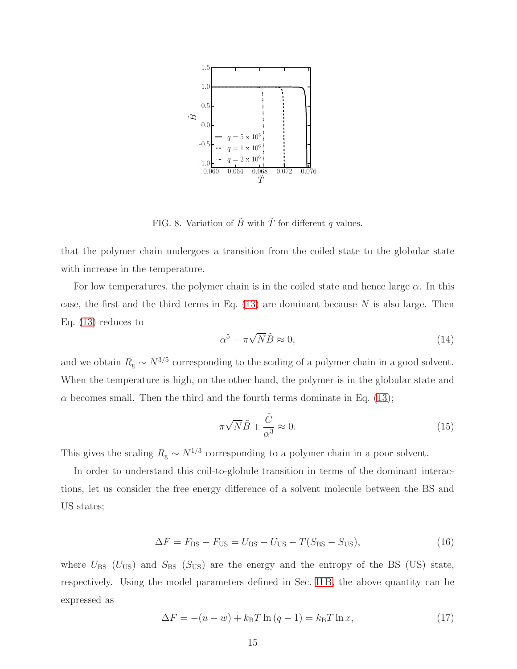

<span id="page-14-0"></span>FIG. 8. Variation of  $\tilde{B}$  with  $\tilde{T}$  for different q values.

that the polymer chain undergoes a transition from the coiled state to the globular state with increase in the temperature.

For low temperatures, the polymer chain is in the coiled state and hence large  $\alpha$ . In this case, the first and the third terms in Eq.  $(13)$  are dominant because N is also large. Then Eq. [\(13\)](#page-13-2) reduces to

$$
\alpha^5 - \pi \sqrt{N} \tilde{B} \approx 0,\tag{14}
$$

and we obtain  $R_{\rm g} \sim N^{3/5}$  corresponding to the scaling of a polymer chain in a good solvent. When the temperature is high, on the other hand, the polymer is in the globular state and  $\alpha$  becomes small. Then the third and the fourth terms dominate in Eq. [\(13\)](#page-13-2);

$$
\pi\sqrt{N}\tilde{B} + \frac{\tilde{C}}{\alpha^3} \approx 0.
$$
\n(15)

This gives the scaling  $R_{\rm g} \sim N^{1/3}$  corresponding to a polymer chain in a poor solvent.

In order to understand this coil-to-globule transition in terms of the dominant interactions, let us consider the free energy difference of a solvent molecule between the BS and US states;

$$
\Delta F = F_{\text{BS}} - F_{\text{US}} = U_{\text{BS}} - U_{\text{US}} - T(S_{\text{BS}} - S_{\text{US}}),\tag{16}
$$

where  $U_{BS}$  ( $U_{US}$ ) and  $S_{BS}$  ( $S_{US}$ ) are the energy and the entropy of the BS (US) state, respectively. Using the model parameters defined in Sec. [II B,](#page-5-0) the above quantity can be expressed as

<span id="page-14-1"></span>
$$
\Delta F = -(u - w) + k_{\rm B} T \ln (q - 1) = k_{\rm B} T \ln x,\tag{17}
$$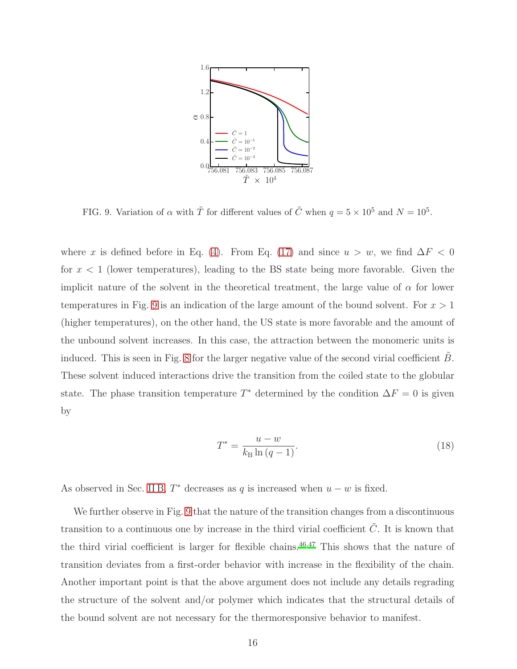

<span id="page-15-0"></span>FIG. 9. Variation of  $\alpha$  with  $\tilde{T}$  for different values of  $\tilde{C}$  when  $q = 5 \times 10^5$  and  $N = 10^5$ .

where x is defined before in Eq. [\(4\)](#page-7-1). From Eq. [\(17\)](#page-14-1) and since  $u > w$ , we find  $\Delta F < 0$ for  $x < 1$  (lower temperatures), leading to the BS state being more favorable. Given the implicit nature of the solvent in the theoretical treatment, the large value of  $\alpha$  for lower temperatures in Fig. [9](#page-15-0) is an indication of the large amount of the bound solvent. For  $x > 1$ (higher temperatures), on the other hand, the US state is more favorable and the amount of the unbound solvent increases. In this case, the attraction between the monomeric units is induced. This is seen in Fig. [8](#page-14-0) for the larger negative value of the second virial coefficient  $B$ . These solvent induced interactions drive the transition from the coiled state to the globular state. The phase transition temperature  $T^*$  determined by the condition  $\Delta F = 0$  is given by

$$
T^* = \frac{u - w}{k_B \ln (q - 1)}.
$$
\n(18)

As observed in Sec. [II B,](#page-5-0)  $T^*$  decreases as q is increased when  $u - w$  is fixed.

We further observe in Fig. [9](#page-15-0) that the nature of the transition changes from a discontinuous transition to a continuous one by increase in the third virial coefficient  $\tilde{C}$ . It is known that the third virial coefficient is larger for flexible chains. $46,47$  $46,47$  This shows that the nature of transition deviates from a first-order behavior with increase in the flexibility of the chain. Another important point is that the above argument does not include any details regrading the structure of the solvent and/or polymer which indicates that the structural details of the bound solvent are not necessary for the thermoresponsive behavior to manifest.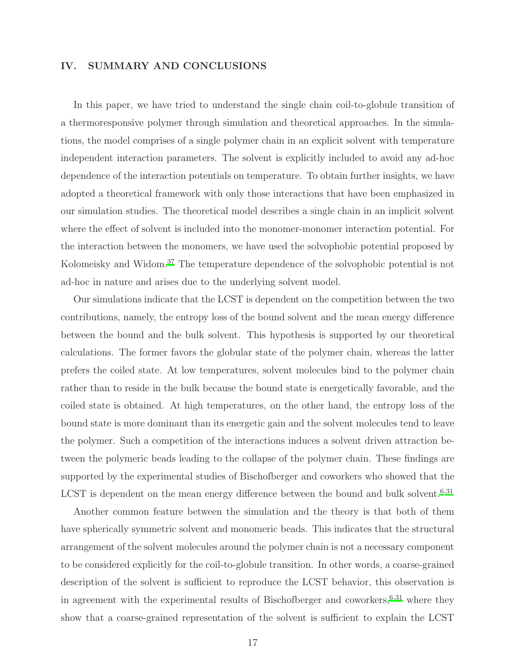# <span id="page-16-0"></span>IV. SUMMARY AND CONCLUSIONS

In this paper, we have tried to understand the single chain coil-to-globule transition of a thermoresponsive polymer through simulation and theoretical approaches. In the simulations, the model comprises of a single polymer chain in an explicit solvent with temperature independent interaction parameters. The solvent is explicitly included to avoid any ad-hoc dependence of the interaction potentials on temperature. To obtain further insights, we have adopted a theoretical framework with only those interactions that have been emphasized in our simulation studies. The theoretical model describes a single chain in an implicit solvent where the effect of solvent is included into the monomer-monomer interaction potential. For the interaction between the monomers, we have used the solvophobic potential proposed by Kolomeisky and Widom.[37](#page-19-9) The temperature dependence of the solvophobic potential is not ad-hoc in nature and arises due to the underlying solvent model.

Our simulations indicate that the LCST is dependent on the competition between the two contributions, namely, the entropy loss of the bound solvent and the mean energy difference between the bound and the bulk solvent. This hypothesis is supported by our theoretical calculations. The former favors the globular state of the polymer chain, whereas the latter prefers the coiled state. At low temperatures, solvent molecules bind to the polymer chain rather than to reside in the bulk because the bound state is energetically favorable, and the coiled state is obtained. At high temperatures, on the other hand, the entropy loss of the bound state is more dominant than its energetic gain and the solvent molecules tend to leave the polymer. Such a competition of the interactions induces a solvent driven attraction between the polymeric beads leading to the collapse of the polymer chain. These findings are supported by the experimental studies of Bischofberger and coworkers who showed that the LCST is dependent on the mean energy difference between the bound and bulk solvent.<sup>[6](#page-18-4)[,31](#page-19-6)</sup>

Another common feature between the simulation and the theory is that both of them have spherically symmetric solvent and monomeric beads. This indicates that the structural arrangement of the solvent molecules around the polymer chain is not a necessary component to be considered explicitly for the coil-to-globule transition. In other words, a coarse-grained description of the solvent is sufficient to reproduce the LCST behavior, this observation is in agreement with the experimental results of Bischofberger and coworkers, $6,31$  $6,31$  where they show that a coarse-grained representation of the solvent is sufficient to explain the LCST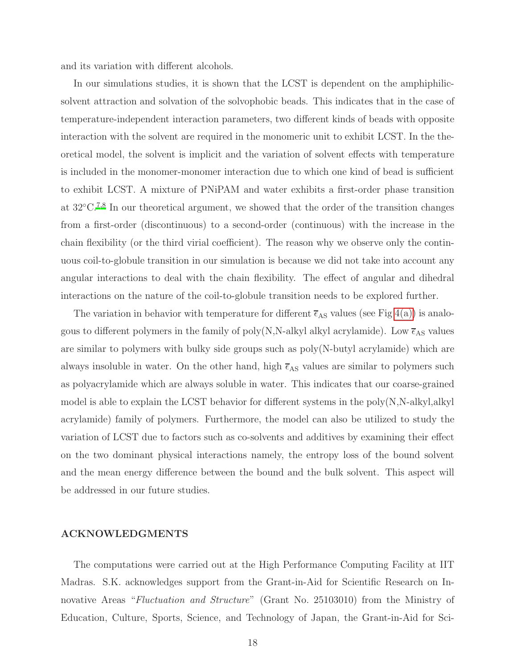and its variation with different alcohols.

In our simulations studies, it is shown that the LCST is dependent on the amphiphilicsolvent attraction and solvation of the solvophobic beads. This indicates that in the case of temperature-independent interaction parameters, two different kinds of beads with opposite interaction with the solvent are required in the monomeric unit to exhibit LCST. In the theoretical model, the solvent is implicit and the variation of solvent effects with temperature is included in the monomer-monomer interaction due to which one kind of bead is sufficient to exhibit LCST. A mixture of PNiPAM and water exhibits a first-order phase transition at 32◦C.[7](#page-18-5)[,8](#page-18-13) In our theoretical argument, we showed that the order of the transition changes from a first-order (discontinuous) to a second-order (continuous) with the increase in the chain flexibility (or the third virial coefficient). The reason why we observe only the continuous coil-to-globule transition in our simulation is because we did not take into account any angular interactions to deal with the chain flexibility. The effect of angular and dihedral interactions on the nature of the coil-to-globule transition needs to be explored further.

The variation in behavior with temperature for different  $\overline{\epsilon}_{AS}$  values (see Fig [4\(a\)\)](#page-9-0) is analogous to different polymers in the family of poly(N,N-alkyl alkyl acrylamide). Low  $\overline{\epsilon}_{AS}$  values are similar to polymers with bulky side groups such as poly(N-butyl acrylamide) which are always insoluble in water. On the other hand, high  $\bar{\epsilon}_{AS}$  values are similar to polymers such as polyacrylamide which are always soluble in water. This indicates that our coarse-grained model is able to explain the LCST behavior for different systems in the poly(N,N-alkyl,alkyl acrylamide) family of polymers. Furthermore, the model can also be utilized to study the variation of LCST due to factors such as co-solvents and additives by examining their effect on the two dominant physical interactions namely, the entropy loss of the bound solvent and the mean energy difference between the bound and the bulk solvent. This aspect will be addressed in our future studies.

# ACKNOWLEDGMENTS

The computations were carried out at the High Performance Computing Facility at IIT Madras. S.K. acknowledges support from the Grant-in-Aid for Scientific Research on Innovative Areas "*Fluctuation and Structure*" (Grant No. 25103010) from the Ministry of Education, Culture, Sports, Science, and Technology of Japan, the Grant-in-Aid for Sci-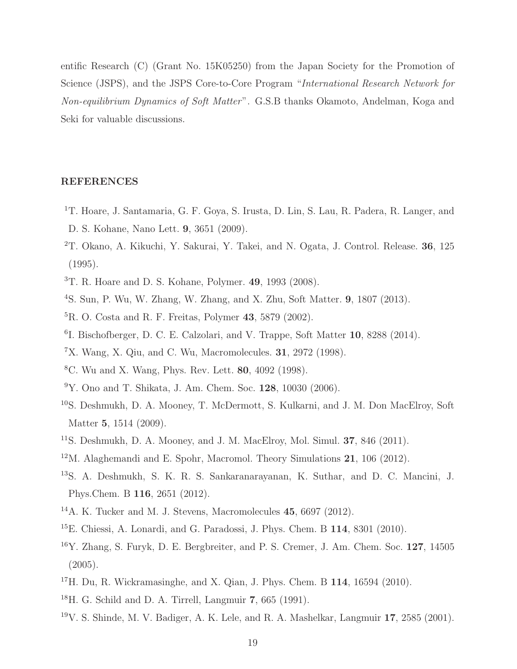entific Research (C) (Grant No. 15K05250) from the Japan Society for the Promotion of Science (JSPS), and the JSPS Core-to-Core Program "*International Research Network for Non-equilibrium Dynamics of Soft Matter*". G.S.B thanks Okamoto, Andelman, Koga and Seki for valuable discussions.

# REFERENCES

- <span id="page-18-0"></span><sup>1</sup>T. Hoare, J. Santamaria, G. F. Goya, S. Irusta, D. Lin, S. Lau, R. Padera, R. Langer, and D. S. Kohane, Nano Lett. 9, 3651 (2009).
- <span id="page-18-1"></span><sup>2</sup>T. Okano, A. Kikuchi, Y. Sakurai, Y. Takei, and N. Ogata, J. Control. Release. 36, 125 (1995).
- <span id="page-18-2"></span><sup>3</sup>T. R. Hoare and D. S. Kohane, Polymer. 49, 1993 (2008).
- <span id="page-18-3"></span><sup>4</sup>S. Sun, P. Wu, W. Zhang, W. Zhang, and X. Zhu, Soft Matter. 9, 1807 (2013).
- ${}^{5}R.$  O. Costa and R. F. Freitas, Polymer 43, 5879 (2002).
- <span id="page-18-4"></span><sup>6</sup>I. Bischofberger, D. C. E. Calzolari, and V. Trappe, Soft Matter 10, 8288 (2014).
- <span id="page-18-5"></span><sup>7</sup>X. Wang, X. Qiu, and C. Wu, Macromolecules. 31, 2972 (1998).
- <span id="page-18-13"></span><sup>8</sup>C. Wu and X. Wang, Phys. Rev. Lett. 80, 4092 (1998).
- <span id="page-18-6"></span><sup>9</sup>Y. Ono and T. Shikata, J. Am. Chem. Soc. 128, 10030 (2006).
- <span id="page-18-7"></span><sup>10</sup>S. Deshmukh, D. A. Mooney, T. McDermott, S. Kulkarni, and J. M. Don MacElroy, Soft Matter 5, 1514 (2009).
- <sup>11</sup>S. Deshmukh, D. A. Mooney, and J. M. MacElroy, Mol. Simul. **37**, 846 (2011).
- <span id="page-18-12"></span> $12$ M. Alaghemandi and E. Spohr, Macromol. Theory Simulations 21, 106 (2012).
- <span id="page-18-8"></span><sup>13</sup>S. A. Deshmukh, S. K. R. S. Sankaranarayanan, K. Suthar, and D. C. Mancini, J. Phys.Chem. B 116, 2651 (2012).
- <sup>14</sup>A. K. Tucker and M. J. Stevens, Macromolecules 45, 6697 (2012).
- $15E$ . Chiessi, A. Lonardi, and G. Paradossi, J. Phys. Chem. B  $114$ , 8301 (2010).
- <span id="page-18-9"></span><sup>16</sup>Y. Zhang, S. Furyk, D. E. Bergbreiter, and P. S. Cremer, J. Am. Chem. Soc. 127, 14505 (2005).
- <span id="page-18-10"></span><sup>17</sup>H. Du, R. Wickramasinghe, and X. Qian, J. Phys. Chem. B 114, 16594 (2010).
- <sup>18</sup>H. G. Schild and D. A. Tirrell, Langmuir 7, 665 (1991).
- <span id="page-18-11"></span> $19V$ . S. Shinde, M. V. Badiger, A. K. Lele, and R. A. Mashelkar, Langmuir 17, 2585 (2001).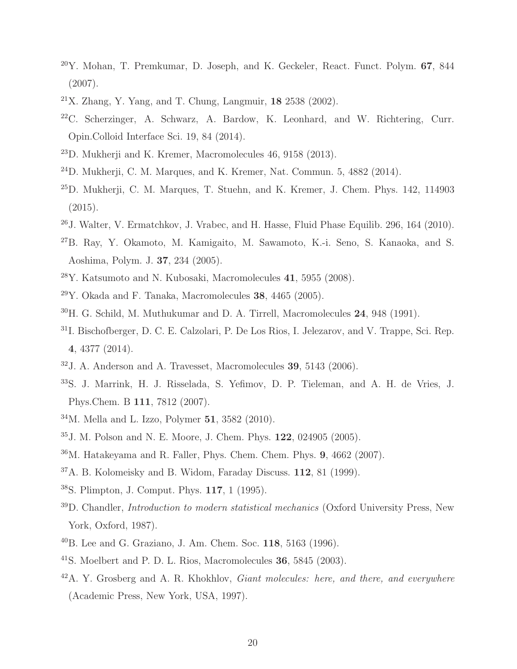- Y. Mohan, T. Premkumar, D. Joseph, and K. Geckeler, React. Funct. Polym. 67, 844 (2007).
- <span id="page-19-0"></span>X. Zhang, Y. Yang, and T. Chung, Langmuir, 18 2538 (2002).
- C. Scherzinger, A. Schwarz, A. Bardow, K. Leonhard, and W. Richtering, Curr. Opin.Colloid Interface Sci. 19, 84 (2014).
- <span id="page-19-1"></span>D. Mukherji and K. Kremer, Macromolecules 46, 9158 (2013).
- $^{24}$ D. Mukherji, C. M. Marques, and K. Kremer, Nat. Commun. 5, 4882 (2014).
- D. Mukherji, C. M. Marques, T. Stuehn, and K. Kremer, J. Chem. Phys. 142, 114903  $(2015).$
- J. Walter, V. Ermatchkov, J. Vrabec, and H. Hasse, Fluid Phase Equilib. 296, 164 (2010).
- <span id="page-19-2"></span>B. Ray, Y. Okamoto, M. Kamigaito, M. Sawamoto, K.-i. Seno, S. Kanaoka, and S. Aoshima, Polym. J. 37, 234 (2005).
- <span id="page-19-3"></span> $^{28}Y$ . Katsumoto and N. Kubosaki, Macromolecules 41, 5955 (2008).
- <span id="page-19-4"></span>Y. Okada and F. Tanaka, Macromolecules 38, 4465 (2005).
- <span id="page-19-5"></span>H. G. Schild, M. Muthukumar and D. A. Tirrell, Macromolecules 24, 948 (1991).
- <span id="page-19-6"></span>I. Bischofberger, D. C. E. Calzolari, P. De Los Rios, I. Jelezarov, and V. Trappe, Sci. Rep. , 4377 (2014).
- <span id="page-19-7"></span>J. A. Anderson and A. Travesset, Macromolecules 39, 5143 (2006).
- S. J. Marrink, H. J. Risselada, S. Yefimov, D. P. Tieleman, and A. H. de Vries, J. Phys.Chem. B 111, 7812 (2007).
- M. Mella and L. Izzo, Polymer 51, 3582 (2010).
- <span id="page-19-8"></span>J. M. Polson and N. E. Moore, J. Chem. Phys. 122, 024905 (2005).
- M. Hatakeyama and R. Faller, Phys. Chem. Chem. Phys. 9, 4662 (2007).
- <span id="page-19-9"></span>A. B. Kolomeisky and B. Widom, Faraday Discuss. 112, 81 (1999).
- S. Plimpton, J. Comput. Phys. 117, 1 (1995).
- <span id="page-19-10"></span>D. Chandler, *Introduction to modern statistical mechanics* (Oxford University Press, New York, Oxford, 1987).
- <span id="page-19-11"></span>B. Lee and G. Graziano, J. Am. Chem. Soc. 118, 5163 (1996).
- <span id="page-19-12"></span> $^{41}$ S. Moelbert and P. D. L. Rios, Macromolecules 36, 5845 (2003).
- <span id="page-19-13"></span>A. Y. Grosberg and A. R. Khokhlov, *Giant molecules: here, and there, and everywhere* (Academic Press, New York, USA, 1997).